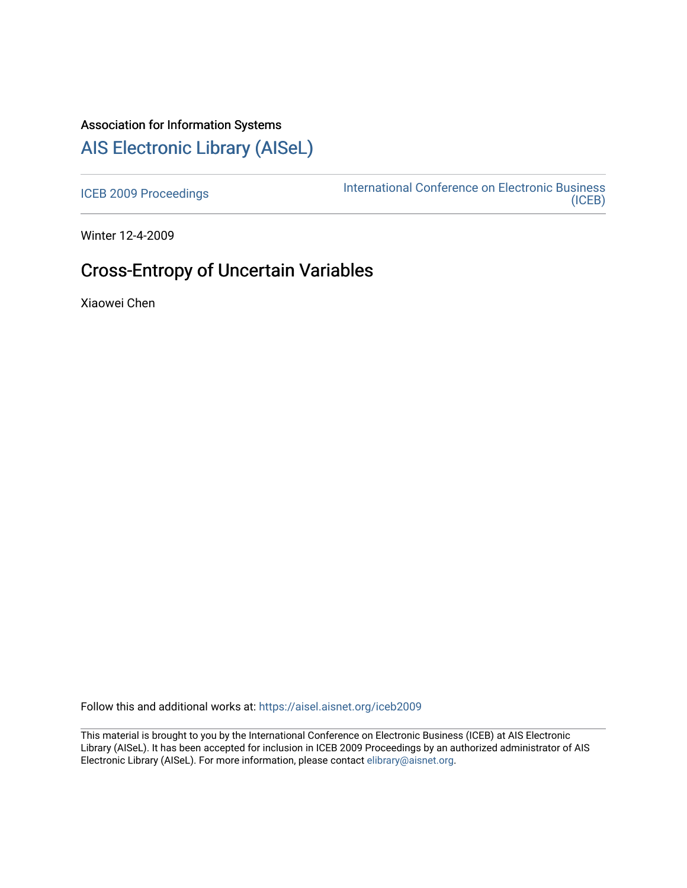# Association for Information Systems

# [AIS Electronic Library \(AISeL\)](https://aisel.aisnet.org/)

[ICEB 2009 Proceedings](https://aisel.aisnet.org/iceb2009) **International Conference on Electronic Business** [\(ICEB\)](https://aisel.aisnet.org/iceb) 

Winter 12-4-2009

# Cross-Entropy of Uncertain Variables

Xiaowei Chen

Follow this and additional works at: [https://aisel.aisnet.org/iceb2009](https://aisel.aisnet.org/iceb2009?utm_source=aisel.aisnet.org%2Ficeb2009%2F143&utm_medium=PDF&utm_campaign=PDFCoverPages)

This material is brought to you by the International Conference on Electronic Business (ICEB) at AIS Electronic Library (AISeL). It has been accepted for inclusion in ICEB 2009 Proceedings by an authorized administrator of AIS Electronic Library (AISeL). For more information, please contact [elibrary@aisnet.org.](mailto:elibrary@aisnet.org%3E)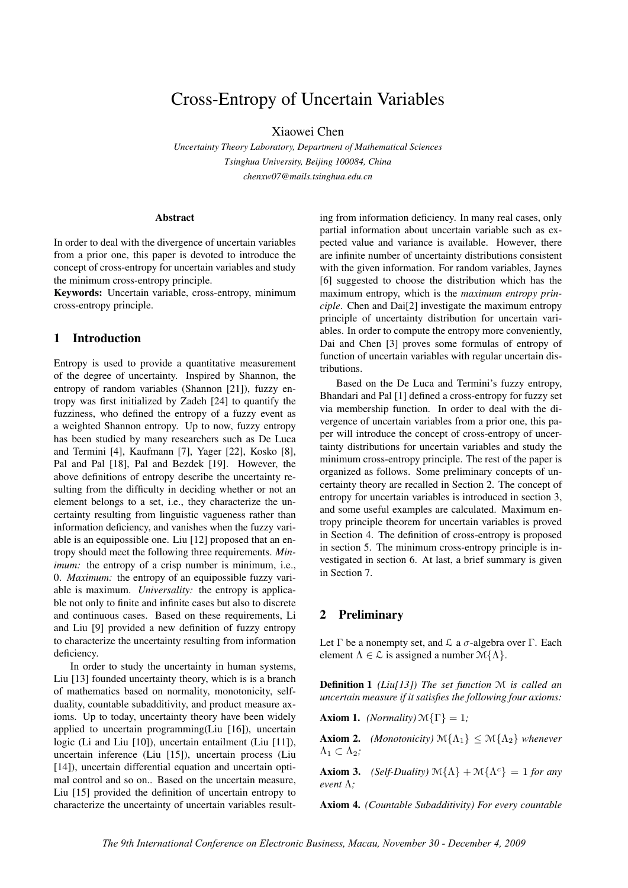# Cross-Entropy of Uncertain Variables

Xiaowei Chen

*Uncertainty Theory Laboratory, Department of Mathematical Sciences Tsinghua University, Beijing 100084, China chenxw07@mails.tsinghua.edu.cn*

### Abstract

In order to deal with the divergence of uncertain variables from a prior one, this paper is devoted to introduce the concept of cross-entropy for uncertain variables and study the minimum cross-entropy principle.

Keywords: Uncertain variable, cross-entropy, minimum cross-entropy principle.

## 1 Introduction

Entropy is used to provide a quantitative measurement of the degree of uncertainty. Inspired by Shannon, the entropy of random variables (Shannon [21]), fuzzy entropy was first initialized by Zadeh [24] to quantify the fuzziness, who defined the entropy of a fuzzy event as a weighted Shannon entropy. Up to now, fuzzy entropy has been studied by many researchers such as De Luca and Termini [4], Kaufmann [7], Yager [22], Kosko [8], Pal and Pal [18], Pal and Bezdek [19]. However, the above definitions of entropy describe the uncertainty resulting from the difficulty in deciding whether or not an element belongs to a set, i.e., they characterize the uncertainty resulting from linguistic vagueness rather than information deficiency, and vanishes when the fuzzy variable is an equipossible one. Liu [12] proposed that an entropy should meet the following three requirements. *Minimum*: the entropy of a crisp number is minimum, i.e., 0. *Maximum:* the entropy of an equipossible fuzzy variable is maximum. *Universality:* the entropy is applicable not only to finite and infinite cases but also to discrete and continuous cases. Based on these requirements, Li and Liu [9] provided a new definition of fuzzy entropy to characterize the uncertainty resulting from information deficiency.

In order to study the uncertainty in human systems, Liu [13] founded uncertainty theory, which is is a branch of mathematics based on normality, monotonicity, selfduality, countable subadditivity, and product measure axioms. Up to today, uncertainty theory have been widely applied to uncertain programming(Liu [16]), uncertain logic (Li and Liu [10]), uncertain entailment (Liu [11]), uncertain inference (Liu [15]), uncertain process (Liu [14]), uncertain differential equation and uncertain optimal control and so on.. Based on the uncertain measure, Liu [15] provided the definition of uncertain entropy to characterize the uncertainty of uncertain variables resulting from information deficiency. In many real cases, only partial information about uncertain variable such as expected value and variance is available. However, there are infinite number of uncertainty distributions consistent with the given information. For random variables, Jaynes [6] suggested to choose the distribution which has the maximum entropy, which is the *maximum entropy principle*. Chen and Dai[2] investigate the maximum entropy principle of uncertainty distribution for uncertain variables. In order to compute the entropy more conveniently, Dai and Chen [3] proves some formulas of entropy of function of uncertain variables with regular uncertain distributions.

Based on the De Luca and Termini's fuzzy entropy, Bhandari and Pal [1] defined a cross-entropy for fuzzy set via membership function. In order to deal with the divergence of uncertain variables from a prior one, this paper will introduce the concept of cross-entropy of uncertainty distributions for uncertain variables and study the minimum cross-entropy principle. The rest of the paper is organized as follows. Some preliminary concepts of uncertainty theory are recalled in Section 2. The concept of entropy for uncertain variables is introduced in section 3, and some useful examples are calculated. Maximum entropy principle theorem for uncertain variables is proved in Section 4. The definition of cross-entropy is proposed in section 5. The minimum cross-entropy principle is investigated in section 6. At last, a brief summary is given in Section 7.

# 2 Preliminary

Let Γ be a nonempty set, and  $\mathcal L$  a  $\sigma$ -algebra over Γ. Each element  $\Lambda \in \mathcal{L}$  is assigned a number  $\mathcal{M}\{\Lambda\}.$ 

Definition 1 *(Liu[13]) The set function* M *is called an uncertain measure if it satisfies the following four axioms:*

**Axiom 1.** *(Normality)*  $\mathcal{M}\{\Gamma\} = 1$ *;* 

**Axiom 2.** *(Monotonicity)*  $\mathcal{M}\{\Lambda_1\} \leq \mathcal{M}\{\Lambda_2\}$  *whenever*  $\Lambda_1 \subset \Lambda_2$ ;

**Axiom 3.** *(Self-Duality)*  $\mathcal{M}\{\Lambda\} + \mathcal{M}\{\Lambda^c\} = 1$  *for any event* Λ*;*

Axiom 4. *(Countable Subadditivity) For every countable*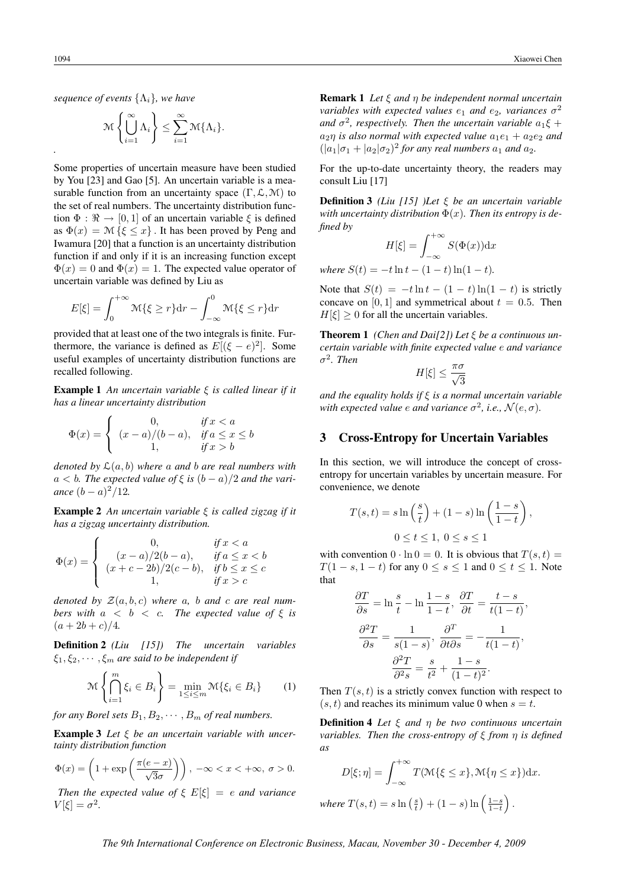*.*

$$
\mathcal{M}\left\{\bigcup_{i=1}^{\infty}\Lambda_i\right\}\leq \sum_{i=1}^{\infty}\mathcal{M}\{\Lambda_i\}.
$$

Some properties of uncertain measure have been studied by You [23] and Gao [5]. An uncertain variable is a measurable function from an uncertainty space  $(\Gamma, \mathcal{L}, \mathcal{M})$  to the set of real numbers. The uncertainty distribution function  $\Phi : \mathbb{R} \to [0, 1]$  of an uncertain variable  $\xi$  is defined as  $\Phi(x) = \mathcal{M}\{\xi \leq x\}$ . It has been proved by Peng and Iwamura [20] that a function is an uncertainty distribution function if and only if it is an increasing function except  $\Phi(x) = 0$  and  $\Phi(x) = 1$ . The expected value operator of uncertain variable was defined by Liu as

$$
E[\xi] = \int_0^{+\infty} \mathcal{M}\{\xi \ge r\} dr - \int_{-\infty}^0 \mathcal{M}\{\xi \le r\} dr
$$

provided that at least one of the two integrals is finite. Furthermore, the variance is defined as  $E[(\xi - e)^2]$ . Some useful examples of uncertainty distribution functions are recalled following.

Example 1 *An uncertain variable* ξ *is called linear if it has a linear uncertainty distribution*

$$
\Phi(x) = \begin{cases}\n0, & \text{if } x < a \\
(x - a)/(b - a), & \text{if } a \le x \le b \\
1, & \text{if } x > b\n\end{cases}
$$

*denoted by* L(a, b) *where* a *and* b *are real numbers with*  $a < b$ . The expected value of  $\xi$  is  $(b-a)/2$  and the vari*ance*  $(b - a)^2/12$ *.* 

Example 2 *An uncertain variable* ξ *is called zigzag if it has a zigzag uncertainty distribution.*

$$
\Phi(x) = \begin{cases}\n0, & \text{if } x < a \\
(x - a)/2(b - a), & \text{if } a \le x < b \\
(x + c - 2b)/2(c - b), & \text{if } b \le x \le c \\
1, & \text{if } x > c\n\end{cases}
$$

*denoted by*  $\mathcal{Z}(a, b, c)$  *where* a, *b and c are real numbers with*  $a < b < c$ *. The expected value of*  $\xi$  *is*  $(a + 2b + c)/4.$ 

Definition 2 *(Liu [15]) The uncertain variables*  $\xi_1, \xi_2, \cdots, \xi_m$  are said to be independent if

$$
\mathcal{M}\left\{\bigcap_{i=1}^{m}\xi_{i}\in B_{i}\right\}=\min_{1\leq i\leq m}\mathcal{M}\{\xi_{i}\in B_{i}\}\qquad(1)
$$

*for any Borel sets*  $B_1, B_2, \cdots, B_m$  *of real numbers.* 

Example 3 *Let* ξ *be an uncertain variable with uncertainty distribution function*

$$
\Phi(x) = \left(1 + \exp\left(\frac{\pi(e-x)}{\sqrt{3}\sigma}\right)\right), \ -\infty < x < +\infty, \ \sigma > 0.
$$

*Then the expected value of*  $\xi$   $E[\xi] = e$  *and variance*  $V[\xi] = \sigma^2$ .

Remark 1 *Let* ξ *and* η *be independent normal uncertain variables with expected values*  $e_1$  *and*  $e_2$ *, variances*  $\sigma^2$ and  $\sigma^2$ , respectively. Then the uncertain variable  $a_1\xi +$  $a_2$ *n* is also normal with expected value  $a_1e_1 + a_2e_2$  and  $(|a_1|\sigma_1 + |a_2|\sigma_2)^2$  *for any real numbers*  $a_1$  *and*  $a_2$ *.* 

For the up-to-date uncertainty theory, the readers may consult Liu [17]

Definition 3 *(Liu [15] )Let* ξ *be an uncertain variable* with uncertainty distribution  $\Phi(x)$ . Then its entropy is de*fined by*

$$
H[\xi] = \int_{-\infty}^{+\infty} S(\Phi(x)) \mathrm{d}x
$$

*where*  $S(t) = -t \ln t - (1 - t) \ln(1 - t)$ .

Note that  $S(t) = -t \ln t - (1 - t) \ln(1 - t)$  is strictly concave on [0, 1] and symmetrical about  $t = 0.5$ . Then  $H[\xi] \geq 0$  for all the uncertain variables.

Theorem 1 *(Chen and Dai[2]) Let* ξ *be a continuous uncertain variable with finite expected value* e *and variance*  $\sigma^2$ *. Then* 

$$
H[\xi] \le \frac{\pi \sigma}{\sqrt{3}}
$$

*and the equality holds if* ξ *is a normal uncertain variable* with expected value  $e$  and variance  $\sigma^2$ , i.e.,  $\mathcal{N}(e, \sigma)$ .

#### 3 Cross-Entropy for Uncertain Variables

In this section, we will introduce the concept of crossentropy for uncertain variables by uncertain measure. For convenience, we denote

$$
T(s,t) = s \ln\left(\frac{s}{t}\right) + (1-s) \ln\left(\frac{1-s}{1-t}\right),
$$
  

$$
0 \le t \le 1, \ 0 \le s \le 1
$$

with convention  $0 \cdot \ln 0 = 0$ . It is obvious that  $T(s, t) =$  $T(1 - s, 1 - t)$  for any  $0 \le s \le 1$  and  $0 \le t \le 1$ . Note that

$$
\frac{\partial T}{\partial s} = \ln \frac{s}{t} - \ln \frac{1-s}{1-t}, \quad \frac{\partial T}{\partial t} = \frac{t-s}{t(1-t)},
$$

$$
\frac{\partial^2 T}{\partial s} = \frac{1}{s(1-s)}, \quad \frac{\partial^T}{\partial t \partial s} = -\frac{1}{t(1-t)},
$$

$$
\frac{\partial^2 T}{\partial s^2} = \frac{s}{t^2} + \frac{1-s}{(1-t)^2}.
$$

Then  $T(s, t)$  is a strictly convex function with respect to  $(s, t)$  and reaches its minimum value 0 when  $s = t$ .

Definition 4 *Let* ξ *and* η *be two continuous uncertain variables. Then the cross-entropy of* ξ *from* η *is defined as*

$$
D[\xi; \eta] = \int_{-\infty}^{+\infty} T(\mathcal{M}\{\xi \le x\}, \mathcal{M}\{\eta \le x\}) dx.
$$
  
where  $T(s, t) = s \ln\left(\frac{s}{t}\right) + (1 - s) \ln\left(\frac{1 - s}{1 - t}\right).$ 

*The 9th International Conference on Electronic Business, Macau, November 30 - December 4, 2009*